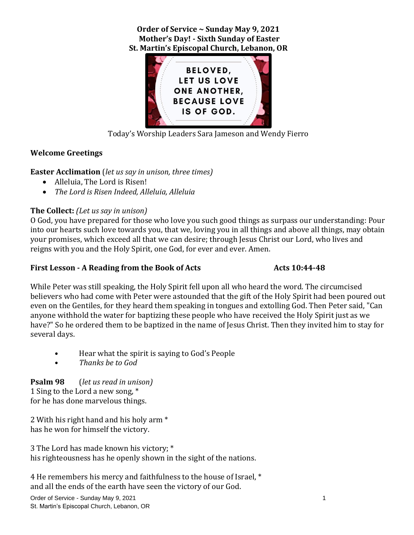**Order of Service ~ Sunday May 9, 2021 Mother's Day! - Sixth Sunday of Easter St. Martin's Episcopal Church, Lebanon, OR**



Today's Worship Leaders Sara Jameson and Wendy Fierro

# **Welcome Greetings**

**Easter Acclimation** (*let us say in unison, three times)*

- Alleluia, The Lord is Risen!
- *The Lord is Risen Indeed, Alleluia, Alleluia*

## **The Collect:** *(Let us say in unison)*

O God, you have prepared for those who love you such good things as surpass our understanding: Pour into our hearts such love towards you, that we, loving you in all things and above all things, may obtain your promises, which exceed all that we can desire; through Jesus Christ our Lord, who lives and reigns with you and the Holy Spirit, one God, for ever and ever. Amen.

## First Lesson - A Reading from the Book of Acts **Acts** Acts 10:44-48

While Peter was still speaking, the Holy Spirit fell upon all who heard the word. The circumcised believers who had come with Peter were astounded that the gift of the Holy Spirit had been poured out even on the Gentiles, for they heard them speaking in tongues and extolling God. Then Peter said, "Can anyone withhold the water for baptizing these people who have received the Holy Spirit just as we have?" So he ordered them to be baptized in the name of Jesus Christ. Then they invited him to stay for several days.

- Hear what the spirit is saying to God's People
- *Thanks be to God*

**Psalm 98** (*let us read in unison)* 1 Sing to the Lord a new song, \* for he has done marvelous things.

2 With his right hand and his holy arm \* has he won for himself the victory.

3 The Lord has made known his victory; \* his righteousness has he openly shown in the sight of the nations.

4 He remembers his mercy and faithfulness to the house of Israel, \* and all the ends of the earth have seen the victory of our God.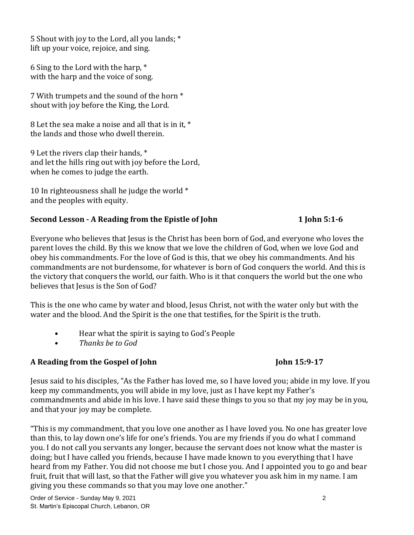5 Shout with joy to the Lord, all you lands; \* lift up your voice, rejoice, and sing.

6 Sing to the Lord with the harp, \* with the harp and the voice of song.

7 With trumpets and the sound of the horn \* shout with joy before the King, the Lord.

8 Let the sea make a noise and all that is in it, \* the lands and those who dwell therein.

9 Let the rivers clap their hands, \* and let the hills ring out with joy before the Lord, when he comes to judge the earth.

10 In righteousness shall he judge the world \* and the peoples with equity.

# **Second Lesson - A Reading from the Epistle of John 1 John 5:1-6**

Everyone who believes that Jesus is the Christ has been born of God, and everyone who loves the parent loves the child. By this we know that we love the children of God, when we love God and obey his commandments. For the love of God is this, that we obey his commandments. And his commandments are not burdensome, for whatever is born of God conquers the world. And this is the victory that conquers the world, our faith. Who is it that conquers the world but the one who believes that Jesus is the Son of God?

This is the one who came by water and blood, Jesus Christ, not with the water only but with the water and the blood. And the Spirit is the one that testifies, for the Spirit is the truth.

- Hear what the spirit is saying to God's People
- *Thanks be to God*

# **A Reading from the Gospel of John John 15:9-17**

Jesus said to his disciples, "As the Father has loved me, so I have loved you; abide in my love. If you keep my commandments, you will abide in my love, just as I have kept my Father's commandments and abide in his love. I have said these things to you so that my joy may be in you, and that your joy may be complete.

"This is my commandment, that you love one another as I have loved you. No one has greater love than this, to lay down one's life for one's friends. You are my friends if you do what I command you. I do not call you servants any longer, because the servant does not know what the master is doing; but I have called you friends, because I have made known to you everything that I have heard from my Father. You did not choose me but I chose you. And I appointed you to go and bear fruit, fruit that will last, so that the Father will give you whatever you ask him in my name. I am giving you these commands so that you may love one another."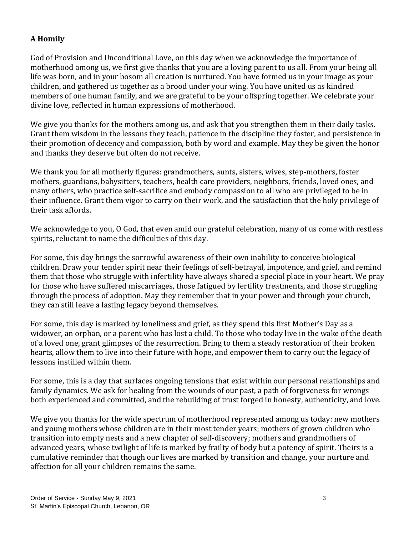## **A Homily**

God of Provision and Unconditional Love, on this day when we acknowledge the importance of motherhood among us, we first give thanks that you are a loving parent to us all. From your being all life was born, and in your bosom all creation is nurtured. You have formed us in your image as your children, and gathered us together as a brood under your wing. You have united us as kindred members of one human family, and we are grateful to be your offspring together. We celebrate your divine love, reflected in human expressions of motherhood.

We give you thanks for the mothers among us, and ask that you strengthen them in their daily tasks. Grant them wisdom in the lessons they teach, patience in the discipline they foster, and persistence in their promotion of decency and compassion, both by word and example. May they be given the honor and thanks they deserve but often do not receive.

We thank you for all motherly figures: grandmothers, aunts, sisters, wives, step-mothers, foster mothers, guardians, babysitters, teachers, health care providers, neighbors, friends, loved ones, and many others, who practice self-sacrifice and embody compassion to all who are privileged to be in their influence. Grant them vigor to carry on their work, and the satisfaction that the holy privilege of their task affords.

We acknowledge to you, O God, that even amid our grateful celebration, many of us come with restless spirits, reluctant to name the difficulties of this day.

For some, this day brings the sorrowful awareness of their own inability to conceive biological children. Draw your tender spirit near their feelings of self-betrayal, impotence, and grief, and remind them that those who struggle with infertility have always shared a special place in your heart. We pray for those who have suffered miscarriages, those fatigued by fertility treatments, and those struggling through the process of adoption. May they remember that in your power and through your church, they can still leave a lasting legacy beyond themselves.

For some, this day is marked by loneliness and grief, as they spend this first Mother's Day as a widower, an orphan, or a parent who has lost a child. To those who today live in the wake of the death of a loved one, grant glimpses of the resurrection. Bring to them a steady restoration of their broken hearts, allow them to live into their future with hope, and empower them to carry out the legacy of lessons instilled within them.

For some, this is a day that surfaces ongoing tensions that exist within our personal relationships and family dynamics. We ask for healing from the wounds of our past, a path of forgiveness for wrongs both experienced and committed, and the rebuilding of trust forged in honesty, authenticity, and love.

We give you thanks for the wide spectrum of motherhood represented among us today: new mothers and young mothers whose children are in their most tender years; mothers of grown children who transition into empty nests and a new chapter of self-discovery; mothers and grandmothers of advanced years, whose twilight of life is marked by frailty of body but a potency of spirit. Theirs is a cumulative reminder that though our lives are marked by transition and change, your nurture and affection for all your children remains the same.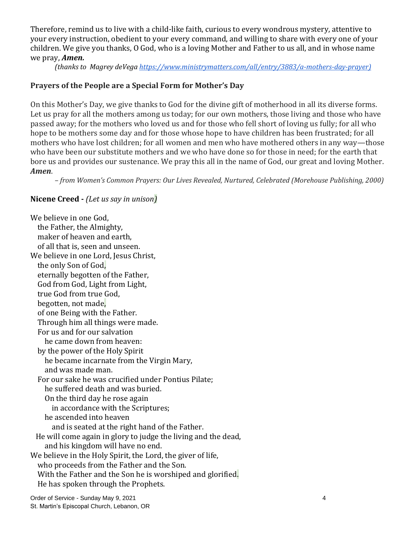Therefore, remind us to live with a child-like faith, curious to every wondrous mystery, attentive to your every instruction, obedient to your every command, and willing to share with every one of your children. We give you thanks, O God, who is a loving Mother and Father to us all, and in whose name we pray, *Amen.*

*(thanks to Magrey deVega [https://www.ministrymatters.com/all/entry/3883/a-mothers-day-prayer\)](https://www.ministrymatters.com/all/entry/3883/a-mothers-day-prayer)*

# **Prayers of the People are a Special Form for Mother's Day**

On this Mother's Day, we give thanks to God for the divine gift of motherhood in all its diverse forms. Let us pray for all the mothers among us today; for our own mothers, those living and those who have passed away; for the mothers who loved us and for those who fell short of loving us fully; for all who hope to be mothers some day and for those whose hope to have children has been frustrated; for all mothers who have lost children; for all women and men who have mothered others in any way—those who have been our substitute mothers and we who have done so for those in need; for the earth that bore us and provides our sustenance. We pray this all in the name of God, our great and loving Mother. *Amen*.

*– from Women's Common Prayers: Our Lives Revealed, Nurtured, Celebrated (Morehouse Publishing, 2000)*

# **Nicene Creed -** *(Let us say in unison)*

We believe in one God, the Father, the Almighty, maker of heaven and earth, of all that is, seen and unseen. We believe in one Lord, Jesus Christ, the only Son of God, eternally begotten of the Father, God from God, Light from Light, true God from true God, begotten, not made, of one Being with the Father. Through him all things were made. For us and for our salvation he came down from heaven: by the power of the Holy Spirit he became incarnate from the Virgin Mary, and was made man. For our sake he was crucified under Pontius Pilate; he suffered death and was buried. On the third day he rose again in accordance with the Scriptures; he ascended into heaven and is seated at the right hand of the Father. He will come again in glory to judge the living and the dead, and his kingdom will have no end. We believe in the Holy Spirit, the Lord, the giver of life, who proceeds from the Father and the Son. With the Father and the Son he is worshiped and glorified. He has spoken through the Prophets.